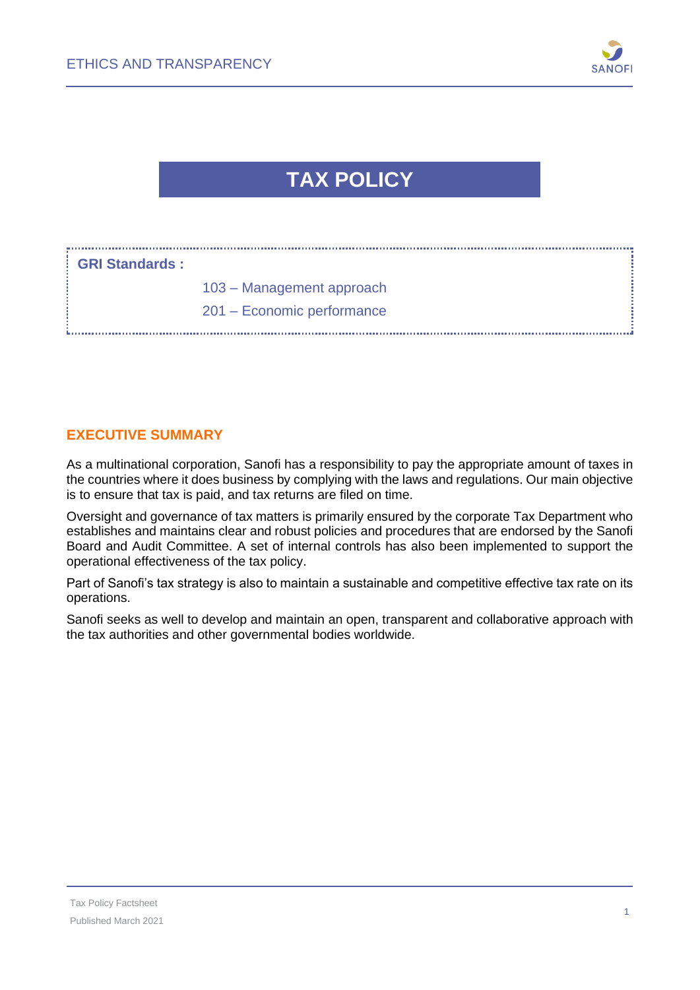

# **TAX POLICY**

| : GRI Standards : |                            |
|-------------------|----------------------------|
|                   | 103 - Management approach  |
|                   | 201 – Economic performance |

#### **EXECUTIVE SUMMARY**

As a multinational corporation, Sanofi has a responsibility to pay the appropriate amount of taxes in the countries where it does business by complying with the laws and regulations. Our main objective is to ensure that tax is paid, and tax returns are filed on time.

Oversight and governance of tax matters is primarily ensured by the corporate Tax Department who establishes and maintains clear and robust policies and procedures that are endorsed by the Sanofi Board and Audit Committee. A set of internal controls has also been implemented to support the operational effectiveness of the tax policy.

Part of Sanofi's tax strategy is also to maintain a sustainable and competitive effective tax rate on its operations.

Sanofi seeks as well to develop and maintain an open, transparent and collaborative approach with the tax authorities and other governmental bodies worldwide.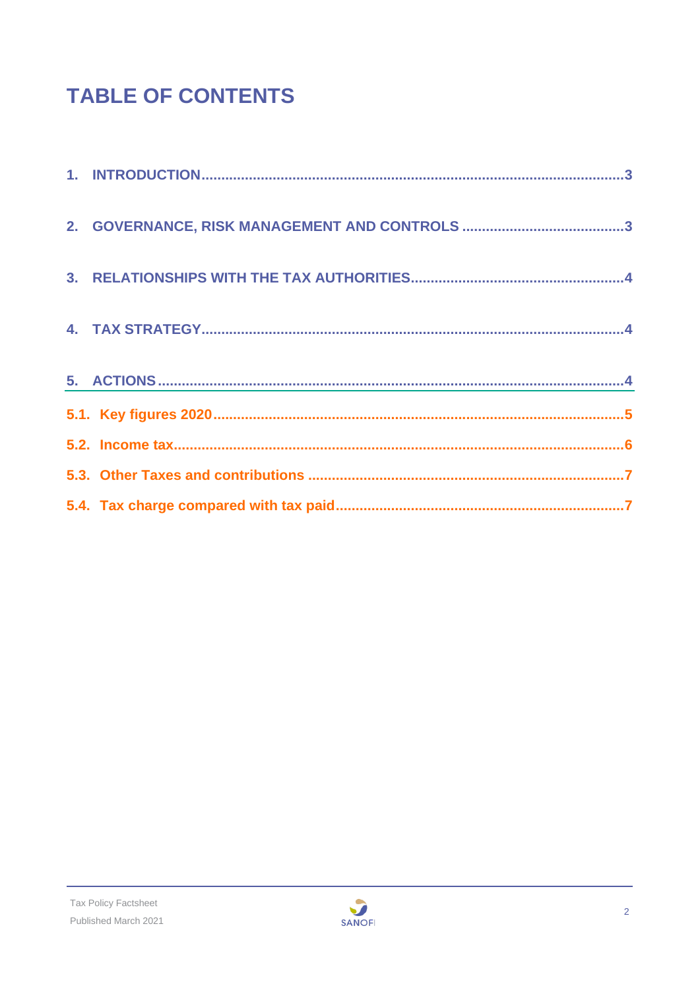# **TABLE OF CONTENTS**

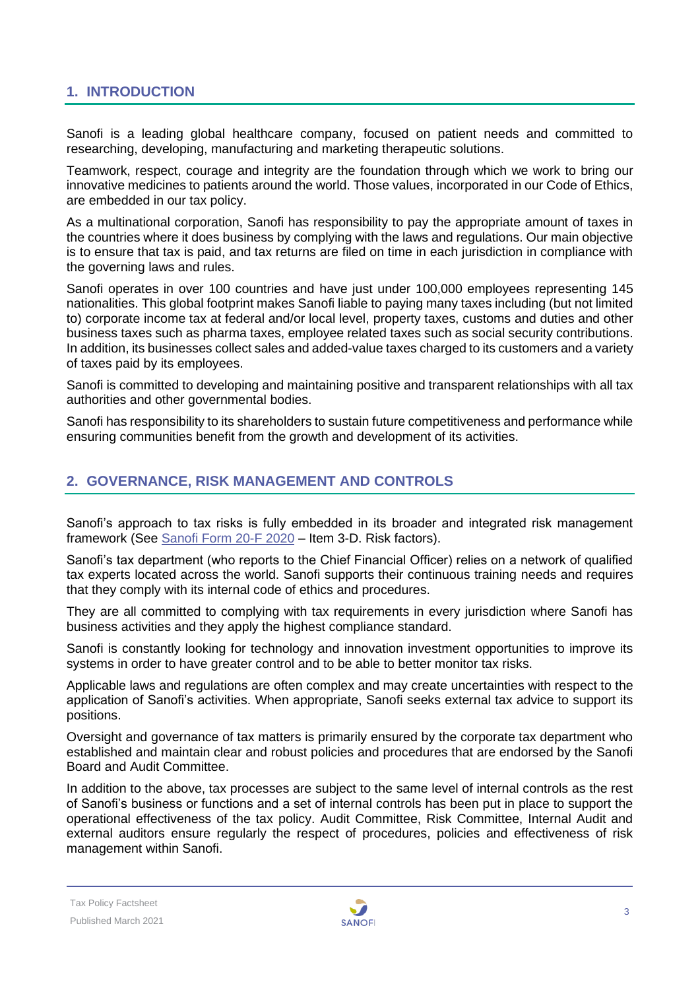#### <span id="page-2-0"></span>**1. INTRODUCTION**

Sanofi is a leading global healthcare company, focused on patient needs and committed to researching, developing, manufacturing and marketing therapeutic solutions.

Teamwork, respect, courage and integrity are the foundation through which we work to bring our innovative medicines to patients around the world. Those values, incorporated in our Code of Ethics, are embedded in our tax policy.

As a multinational corporation, Sanofi has responsibility to pay the appropriate amount of taxes in the countries where it does business by complying with the laws and regulations. Our main objective is to ensure that tax is paid, and tax returns are filed on time in each jurisdiction in compliance with the governing laws and rules.

Sanofi operates in over 100 countries and have just under 100,000 employees representing 145 nationalities. This global footprint makes Sanofi liable to paying many taxes including (but not limited to) corporate income tax at federal and/or local level, property taxes, customs and duties and other business taxes such as pharma taxes, employee related taxes such as social security contributions. In addition, its businesses collect sales and added-value taxes charged to its customers and a variety of taxes paid by its employees.

Sanofi is committed to developing and maintaining positive and transparent relationships with all tax authorities and other governmental bodies.

Sanofi has responsibility to its shareholders to sustain future competitiveness and performance while ensuring communities benefit from the growth and development of its activities.

#### <span id="page-2-1"></span>**2. GOVERNANCE, RISK MANAGEMENT AND CONTROLS**

Sanofi's approach to tax risks is fully embedded in its broader and integrated risk management framework (See [Sanofi Form 20-F 2020](https://www.sanofi.com/en/investors/reports-and-publications) – Item 3-D. Risk factors).

Sanofi's tax department (who reports to the Chief Financial Officer) relies on a network of qualified tax experts located across the world. Sanofi supports their continuous training needs and requires that they comply with its internal code of ethics and procedures.

They are all committed to complying with tax requirements in every jurisdiction where Sanofi has business activities and they apply the highest compliance standard.

Sanofi is constantly looking for technology and innovation investment opportunities to improve its systems in order to have greater control and to be able to better monitor tax risks.

Applicable laws and regulations are often complex and may create uncertainties with respect to the application of Sanofi's activities. When appropriate, Sanofi seeks external tax advice to support its positions.

Oversight and governance of tax matters is primarily ensured by the corporate tax department who established and maintain clear and robust policies and procedures that are endorsed by the Sanofi Board and Audit Committee.

In addition to the above, tax processes are subject to the same level of internal controls as the rest of Sanofi's business or functions and a set of internal controls has been put in place to support the operational effectiveness of the tax policy. Audit Committee, Risk Committee, Internal Audit and external auditors ensure regularly the respect of procedures, policies and effectiveness of risk management within Sanofi.

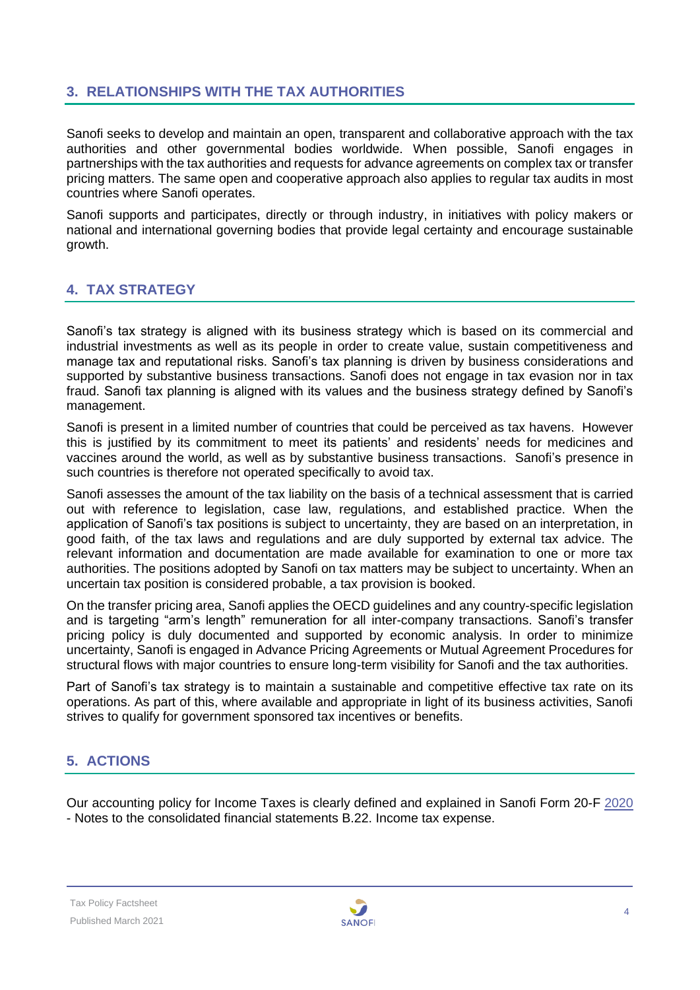### <span id="page-3-0"></span>**3. RELATIONSHIPS WITH THE TAX AUTHORITIES**

Sanofi seeks to develop and maintain an open, transparent and collaborative approach with the tax authorities and other governmental bodies worldwide. When possible, Sanofi engages in partnerships with the tax authorities and requests for advance agreements on complex tax or transfer pricing matters. The same open and cooperative approach also applies to regular tax audits in most countries where Sanofi operates.

Sanofi supports and participates, directly or through industry, in initiatives with policy makers or national and international governing bodies that provide legal certainty and encourage sustainable growth.

### <span id="page-3-1"></span>**4. TAX STRATEGY**

Sanofi's tax strategy is aligned with its business strategy which is based on its commercial and industrial investments as well as its people in order to create value, sustain competitiveness and manage tax and reputational risks. Sanofi's tax planning is driven by business considerations and supported by substantive business transactions. Sanofi does not engage in tax evasion nor in tax fraud. Sanofi tax planning is aligned with its values and the business strategy defined by Sanofi's management.

Sanofi is present in a limited number of countries that could be perceived as tax havens. However this is justified by its commitment to meet its patients' and residents' needs for medicines and vaccines around the world, as well as by substantive business transactions. Sanofi's presence in such countries is therefore not operated specifically to avoid tax.

Sanofi assesses the amount of the tax liability on the basis of a technical assessment that is carried out with reference to legislation, case law, regulations, and established practice. When the application of Sanofi's tax positions is subject to uncertainty, they are based on an interpretation, in good faith, of the tax laws and regulations and are duly supported by external tax advice. The relevant information and documentation are made available for examination to one or more tax authorities. The positions adopted by Sanofi on tax matters may be subject to uncertainty. When an uncertain tax position is considered probable, a tax provision is booked.

On the transfer pricing area, Sanofi applies the OECD guidelines and any country-specific legislation and is targeting "arm's length" remuneration for all inter-company transactions. Sanofi's transfer pricing policy is duly documented and supported by economic analysis. In order to minimize uncertainty, Sanofi is engaged in Advance Pricing Agreements or Mutual Agreement Procedures for structural flows with major countries to ensure long-term visibility for Sanofi and the tax authorities.

Part of Sanofi's tax strategy is to maintain a sustainable and competitive effective tax rate on its operations. As part of this, where available and appropriate in light of its business activities, Sanofi strives to qualify for government sponsored tax incentives or benefits.

# <span id="page-3-2"></span>**5. ACTIONS**

Our accounting policy for Income Taxes is clearly defined and explained in Sanofi Form 20-F [2020](https://www.sanofi.com/en/investors/reports-and-publications) - Notes to the consolidated financial statements B.22. Income tax expense.

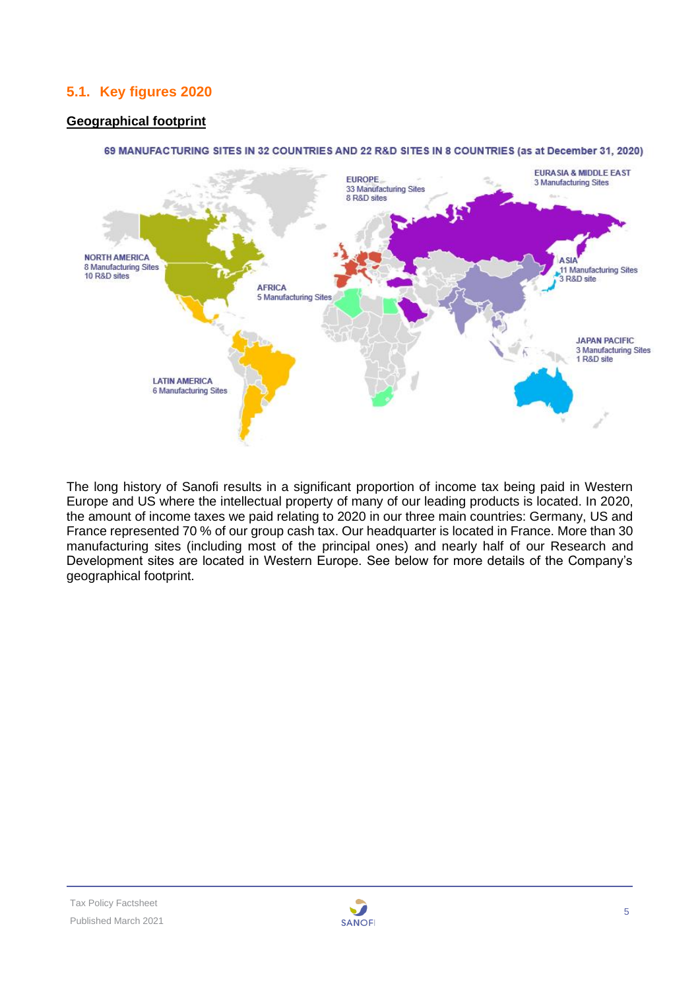# <span id="page-4-0"></span>**5.1. Key figures 2020**

#### **Geographical footprint**



#### 69 MANUFACTURING SITES IN 32 COUNTRIES AND 22 R&D SITES IN 8 COUNTRIES (as at December 31, 2020)

The long history of Sanofi results in a significant proportion of income tax being paid in Western Europe and US where the intellectual property of many of our leading products is located. In 2020, the amount of income taxes we paid relating to 2020 in our three main countries: Germany, US and France represented 70 % of our group cash tax. Our headquarter is located in France. More than 30 manufacturing sites (including most of the principal ones) and nearly half of our Research and Development sites are located in Western Europe. See below for more details of the Company's geographical footprint.

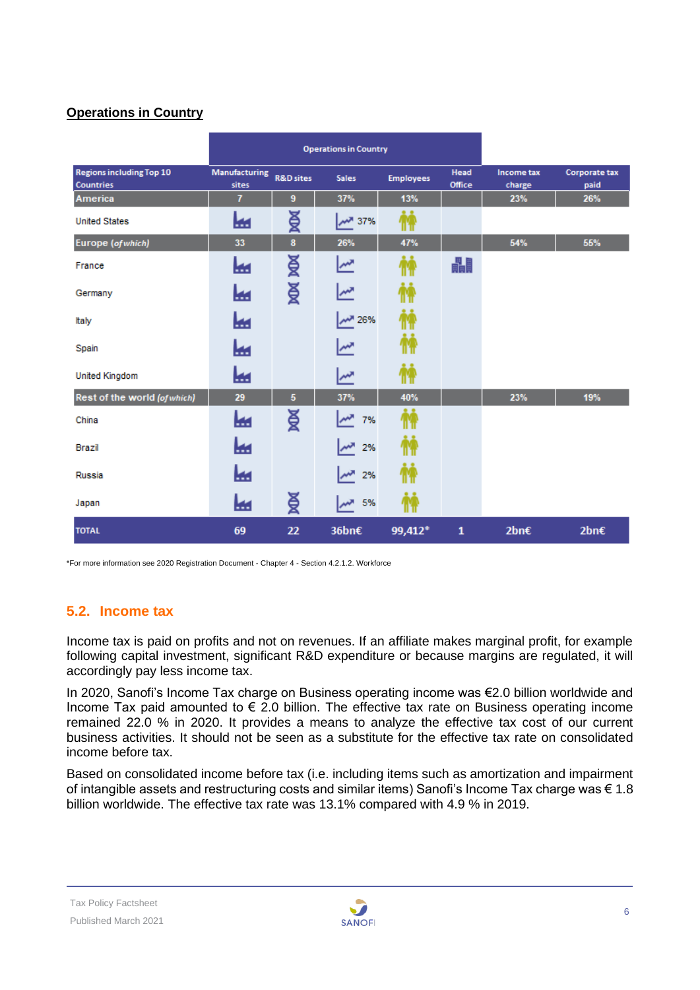#### **Operations in Country**

|                                                     |                               | <b>Operations in Country</b> |               |                  |                              |                      |                              |
|-----------------------------------------------------|-------------------------------|------------------------------|---------------|------------------|------------------------------|----------------------|------------------------------|
| <b>Regions including Top 10</b><br><b>Countries</b> | <b>Manufacturing</b><br>sites | <b>R&amp;D</b> sites         | <b>Sales</b>  | <b>Employees</b> | <b>Head</b><br><b>Office</b> | Income tax<br>charge | <b>Corporate tax</b><br>paid |
| America                                             | $\overline{1}$                | 9                            | 37%           | 13%              |                              | 23%                  | 26%                          |
| <b>United States</b>                                | ₩                             | ¥                            | 37% المعلم    |                  |                              |                      |                              |
| Europe (of which)                                   | 33                            | 8                            | 26%           | 47%              |                              | 54%                  | 55%                          |
| France                                              | ш                             | ¥                            | المهر         |                  | 畾                            |                      |                              |
| Germany                                             | ш                             | ¥                            | ∣∼            |                  |                              |                      |                              |
| Italy                                               | ш                             |                              | <b>MM</b> 26% |                  |                              |                      |                              |
| Spain                                               | ш                             |                              |               |                  |                              |                      |                              |
| <b>United Kingdom</b>                               | ш                             |                              | سمبر          |                  |                              |                      |                              |
| Rest of the world (of which)                        | 29                            | 5                            | 37%           | 40%              |                              | 23%                  | 19%                          |
| China                                               | ш                             | ¥                            | $\sim$<br>7%  |                  |                              |                      |                              |
| Brazil                                              | ш                             |                              | 2%            |                  |                              |                      |                              |
| Russia                                              | ш                             |                              | ᄴ<br>2%       |                  |                              |                      |                              |
| Japan                                               | ⊯                             | ¥                            | 5%            |                  |                              |                      |                              |
| <b>TOTAL</b>                                        | 69                            | 22                           | 36bn€         | 99,412*          | $\mathbf{1}$                 | 2bn€                 | 2bn€                         |

<span id="page-5-0"></span>\*For more information see 2020 Registration Document - Chapter 4 - Section 4.2.1.2. Workforce

# **5.2. Income tax**

Income tax is paid on profits and not on revenues. If an affiliate makes marginal profit, for example following capital investment, significant R&D expenditure or because margins are regulated, it will accordingly pay less income tax.

In 2020, Sanofi's Income Tax charge on Business operating income was €2.0 billion worldwide and Income Tax paid amounted to  $\epsilon$  2.0 billion. The effective tax rate on Business operating income remained 22.0 % in 2020. It provides a means to analyze the effective tax cost of our current business activities. It should not be seen as a substitute for the effective tax rate on consolidated income before tax.

Based on consolidated income before tax (i.e. including items such as amortization and impairment of intangible assets and restructuring costs and similar items) Sanofi's Income Tax charge was  $\epsilon$  1.8 billion worldwide. The effective tax rate was 13.1% compared with 4.9 % in 2019.